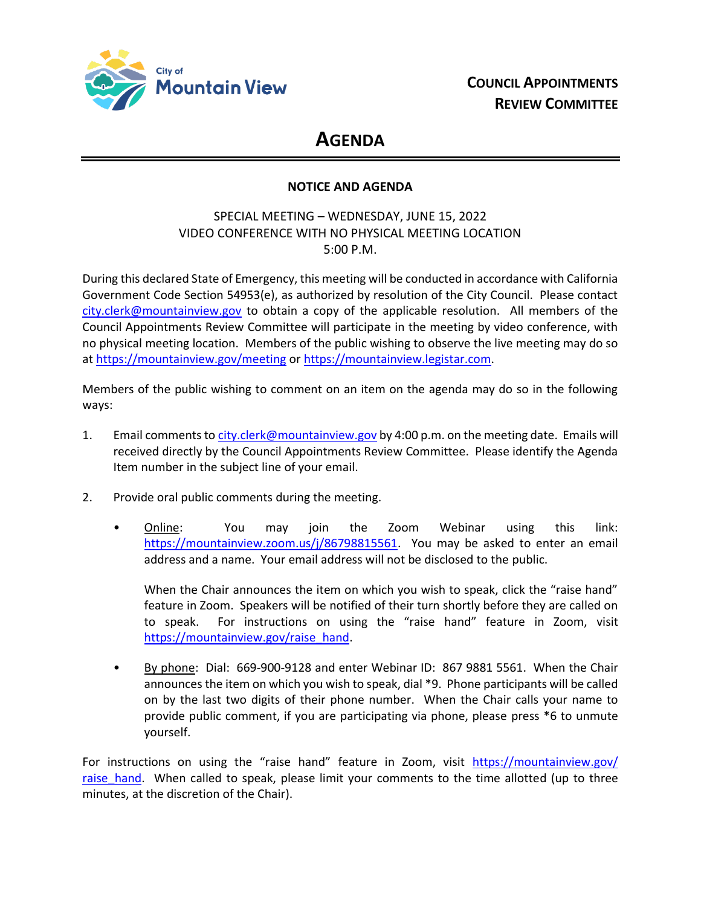

# **AGENDA**

## **NOTICE AND AGENDA**

# SPECIAL MEETING – WEDNESDAY, JUNE 15, 2022 VIDEO CONFERENCE WITH NO PHYSICAL MEETING LOCATION 5:00 P.M.

During this declared State of Emergency, this meeting will be conducted in accordance with California Government Code Section 54953(e), as authorized by resolution of the City Council. Please contact [city.clerk@mountainview.gov](mailto:city.clerk@mountainview.gov) to obtain a copy of the applicable resolution. All members of the Council Appointments Review Committee will participate in the meeting by video conference, with no physical meeting location. Members of the public wishing to observe the live meeting may do so at<https://mountainview.gov/meeting> or [https://mountainview.legistar.com.](https://mountainview.legistar.com/)

Members of the public wishing to comment on an item on the agenda may do so in the following ways:

- 1. Email comments t[o city.clerk@mountainview.gov](mailto:city.clerk@mountainview.gov) by 4:00 p.m. on the meeting date. Emails will received directly by the Council Appointments Review Committee. Please identify the Agenda Item number in the subject line of your email.
- 2. Provide oral public comments during the meeting.
	- Online: You may join the Zoom Webinar using this link: [https://mountainview.zoom.us/j/86798815561.](https://mountainview.zoom.us/j/86798815561) You may be asked to enter an email address and a name. Your email address will not be disclosed to the public.

When the Chair announces the item on which you wish to speak, click the "raise hand" feature in Zoom. Speakers will be notified of their turn shortly before they are called on to speak. For instructions on using the "raise hand" feature in Zoom, visit [https://mountainview.gov/raise\\_hand.](https://mountainview.gov/raise_hand)

• By phone: Dial: 669-900-9128 and enter Webinar ID: 867 9881 5561. When the Chair announces the item on which you wish to speak, dial \*9. Phone participants will be called on by the last two digits of their phone number. When the Chair calls your name to provide public comment, if you are participating via phone, please press \*6 to unmute yourself.

For instructions on using the "raise hand" feature in Zoom, visit [https://mountainview.gov/](https://mountainview.gov/raise_hand) raise hand. When called to speak, please limit your comments to the time allotted (up to three minutes, at the discretion of the Chair).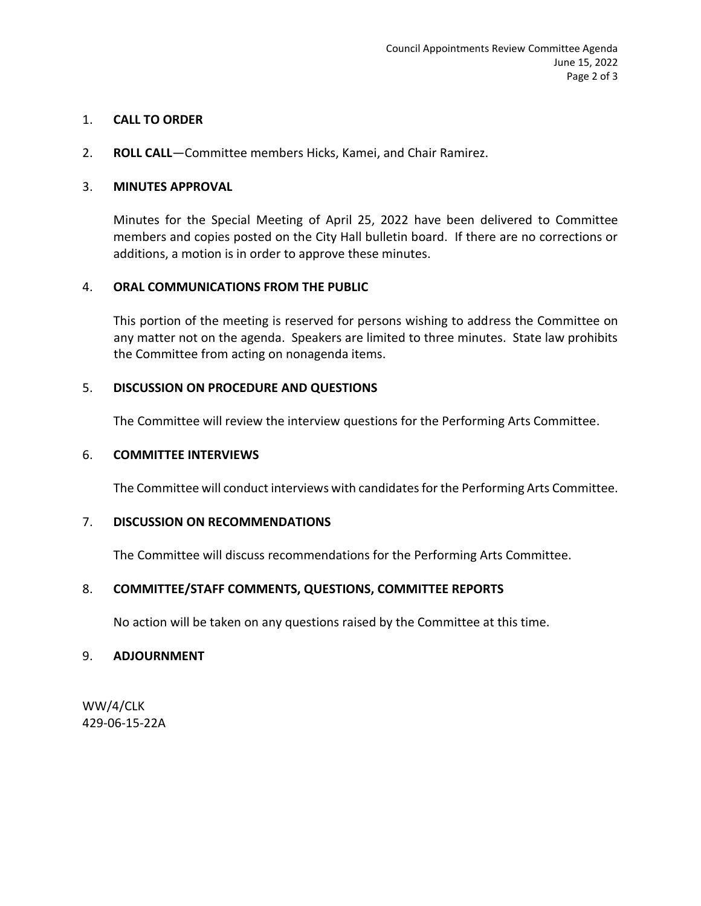## 1. **CALL TO ORDER**

2. **ROLL CALL**—Committee members Hicks, Kamei, and Chair Ramirez.

## 3. **MINUTES APPROVAL**

Minutes for the Special Meeting of April 25, 2022 have been delivered to Committee members and copies posted on the City Hall bulletin board. If there are no corrections or additions, a motion is in order to approve these minutes.

## 4. **ORAL COMMUNICATIONS FROM THE PUBLIC**

This portion of the meeting is reserved for persons wishing to address the Committee on any matter not on the agenda. Speakers are limited to three minutes. State law prohibits the Committee from acting on nonagenda items.

## 5. **DISCUSSION ON PROCEDURE AND QUESTIONS**

The Committee will review the interview questions for the Performing Arts Committee.

## 6. **COMMITTEE INTERVIEWS**

The Committee will conduct interviews with candidates for the Performing Arts Committee.

## 7. **DISCUSSION ON RECOMMENDATIONS**

The Committee will discuss recommendations for the Performing Arts Committee.

# 8. **COMMITTEE/STAFF COMMENTS, QUESTIONS, COMMITTEE REPORTS**

No action will be taken on any questions raised by the Committee at this time.

## 9. **ADJOURNMENT**

WW/4/CLK 429-06-15-22A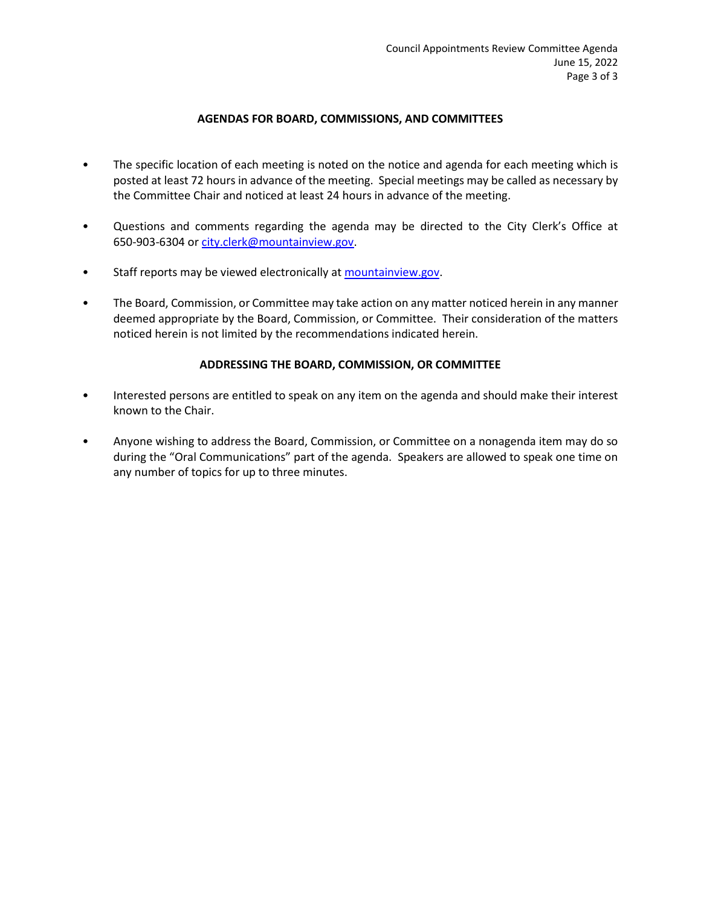#### **AGENDAS FOR BOARD, COMMISSIONS, AND COMMITTEES**

- The specific location of each meeting is noted on the notice and agenda for each meeting which is posted at least 72 hours in advance of the meeting. Special meetings may be called as necessary by the Committee Chair and noticed at least 24 hours in advance of the meeting.
- Questions and comments regarding the agenda may be directed to the City Clerk's Office at 650-903-6304 or [city.clerk@mountainview.gov.](file://///VM-FILESRVR02/CityDepartments/FASD/Word%20Processing/WP%20DB%20FILES/CLK/11-20-CLK/city.clerk@mountainview.gov)
- Staff reports may be viewed electronically at [mountainview.gov.](file://///mtnview/data/CityDepartments/FASD/Word%20Processing/2016-2020%20WP%20Backup/2016/CLK/11-16-CLK/www.mountainview.gov)
- The Board, Commission, or Committee may take action on any matter noticed herein in any manner deemed appropriate by the Board, Commission, or Committee. Their consideration of the matters noticed herein is not limited by the recommendations indicated herein.

#### **ADDRESSING THE BOARD, COMMISSION, OR COMMITTEE**

- Interested persons are entitled to speak on any item on the agenda and should make their interest known to the Chair.
- Anyone wishing to address the Board, Commission, or Committee on a nonagenda item may do so during the "Oral Communications" part of the agenda. Speakers are allowed to speak one time on any number of topics for up to three minutes.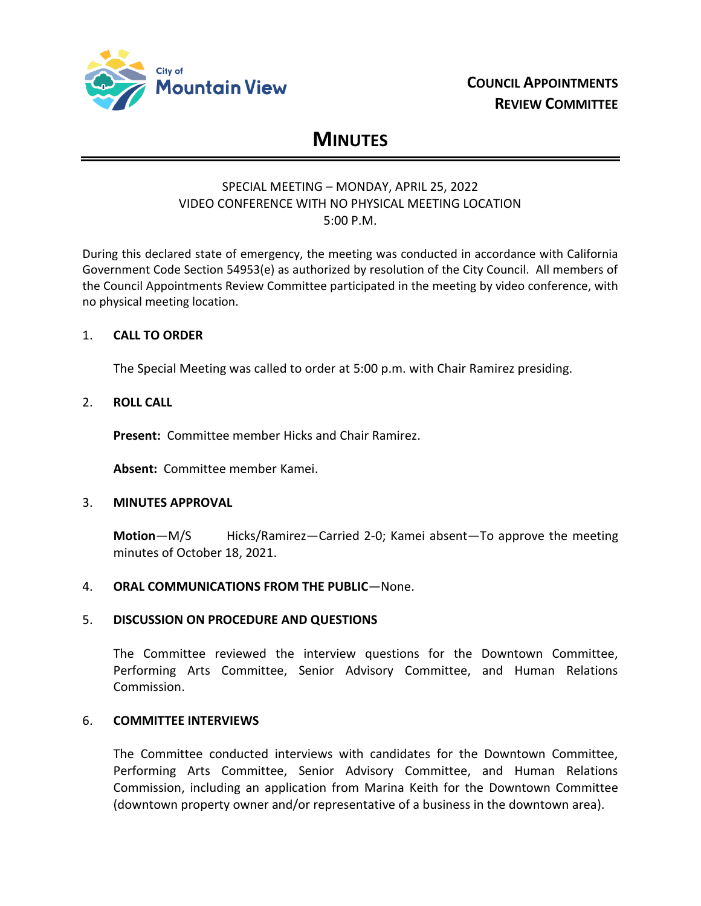

# **MINUTES**

## SPECIAL MEETING – MONDAY, APRIL 25, 2022 VIDEO CONFERENCE WITH NO PHYSICAL MEETING LOCATION 5:00 P.M.

During this declared state of emergency, the meeting was conducted in accordance with California Government Code Section 54953(e) as authorized by resolution of the City Council. All members of the Council Appointments Review Committee participated in the meeting by video conference, with no physical meeting location.

## 1. **CALL TO ORDER**

The Special Meeting was called to order at 5:00 p.m. with Chair Ramirez presiding.

## 2. **ROLL CALL**

**Present:** Committee member Hicks and Chair Ramirez.

**Absent:** Committee member Kamei.

## 3. **MINUTES APPROVAL**

**Motion**—M/S Hicks/Ramirez—Carried 2-0; Kamei absent—To approve the meeting minutes of October 18, 2021.

## 4. **ORAL COMMUNICATIONS FROM THE PUBLIC**—None.

## 5. **DISCUSSION ON PROCEDURE AND QUESTIONS**

The Committee reviewed the interview questions for the Downtown Committee, Performing Arts Committee, Senior Advisory Committee, and Human Relations Commission.

## 6. **COMMITTEE INTERVIEWS**

The Committee conducted interviews with candidates for the Downtown Committee, Performing Arts Committee, Senior Advisory Committee, and Human Relations Commission, including an application from Marina Keith for the Downtown Committee (downtown property owner and/or representative of a business in the downtown area).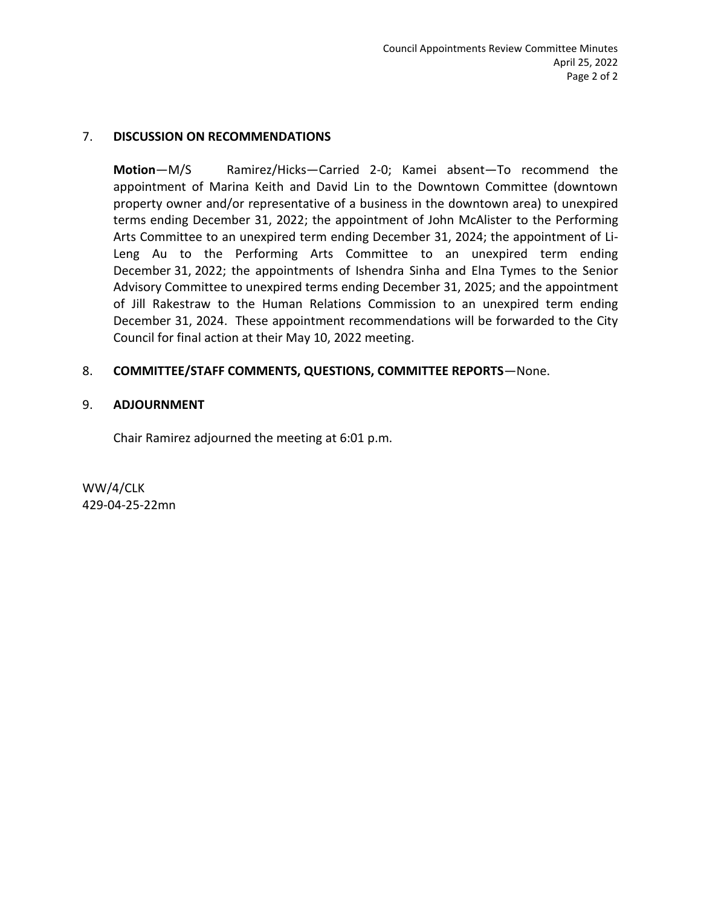## 7. **DISCUSSION ON RECOMMENDATIONS**

**Motion**—M/S Ramirez/Hicks—Carried 2-0; Kamei absent—To recommend the appointment of Marina Keith and David Lin to the Downtown Committee (downtown property owner and/or representative of a business in the downtown area) to unexpired terms ending December 31, 2022; the appointment of John McAlister to the Performing Arts Committee to an unexpired term ending December 31, 2024; the appointment of Li-Leng Au to the Performing Arts Committee to an unexpired term ending December 31, 2022; the appointments of Ishendra Sinha and Elna Tymes to the Senior Advisory Committee to unexpired terms ending December 31, 2025; and the appointment of Jill Rakestraw to the Human Relations Commission to an unexpired term ending December 31, 2024. These appointment recommendations will be forwarded to the City Council for final action at their May 10, 2022 meeting.

## 8. **COMMITTEE/STAFF COMMENTS, QUESTIONS, COMMITTEE REPORTS**—None.

## 9. **ADJOURNMENT**

Chair Ramirez adjourned the meeting at 6:01 p.m.

WW/4/CLK 429-04-25-22mn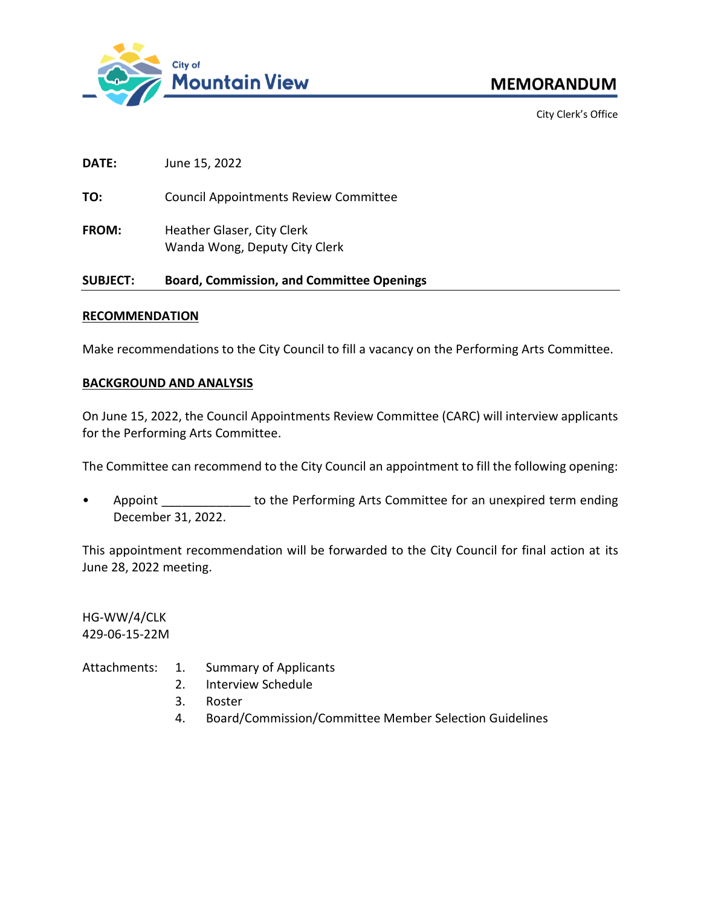

City Clerk's Office

**DATE:** June 15, 2022

**TO:** Council Appointments Review Committee

FROM: Heather Glaser, City Clerk Wanda Wong, Deputy City Clerk

## **SUBJECT: Board, Commission, and Committee Openings**

#### **RECOMMENDATION**

Make recommendations to the City Council to fill a vacancy on the Performing Arts Committee.

## **BACKGROUND AND ANALYSIS**

On June 15, 2022, the Council Appointments Review Committee (CARC) will interview applicants for the Performing Arts Committee.

The Committee can recommend to the City Council an appointment to fill the following opening:

Appoint **EXEC 10 FORDING THE ADDEN THE PERFORMIT COMMUNITION** Appoint an unexpired term ending December 31, 2022.

This appointment recommendation will be forwarded to the City Council for final action at its June 28, 2022 meeting.

HG-WW/4/CLK 429-06-15-22M

Attachments: 1. Summary of Applicants

- 2. Interview Schedule
- 3. Roster
- 4. Board/Commission/Committee Member Selection Guidelines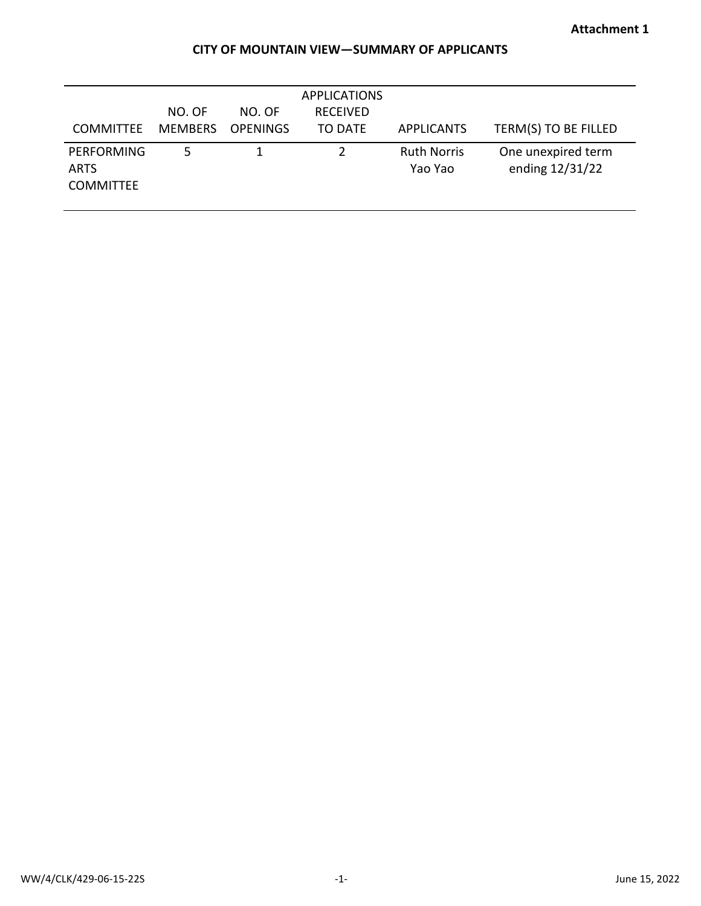# **CITY OF MOUNTAIN VIEW—SUMMARY OF APPLICANTS**

| <b>COMMITTEE</b>                                     | NO. OF<br><b>MEMBERS</b> | NO. OF<br><b>OPENINGS</b> | <b>APPLICATIONS</b><br><b>RECEIVED</b><br>TO DATE | <b>APPLICANTS</b>             | TERM(S) TO BE FILLED                  |
|------------------------------------------------------|--------------------------|---------------------------|---------------------------------------------------|-------------------------------|---------------------------------------|
| <b>PERFORMING</b><br><b>ARTS</b><br><b>COMMITTEE</b> | 5.                       |                           |                                                   | <b>Ruth Norris</b><br>Yao Yao | One unexpired term<br>ending 12/31/22 |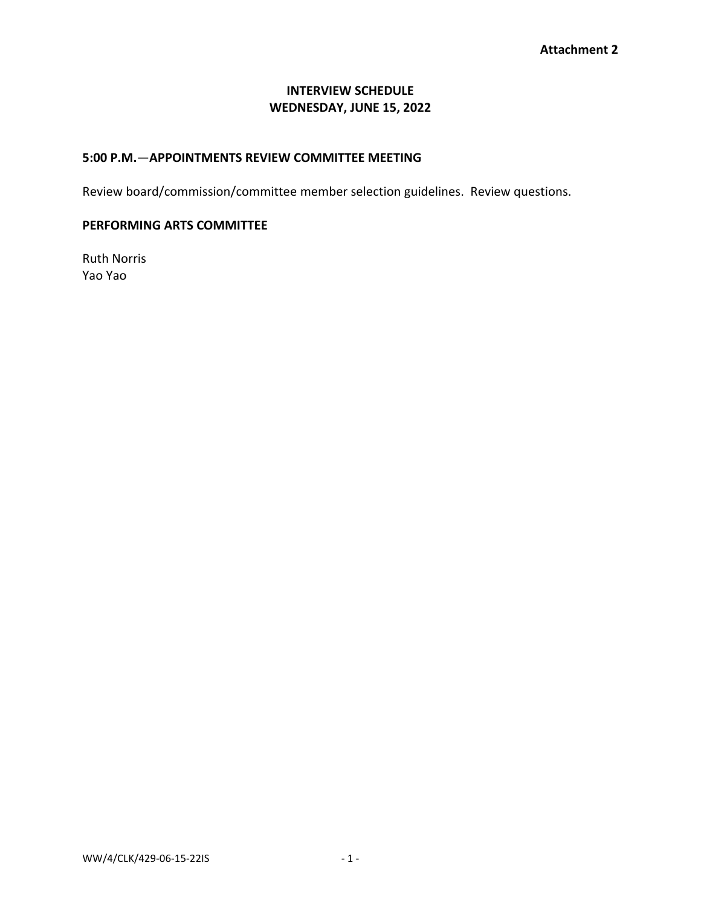## **INTERVIEW SCHEDULE WEDNESDAY, JUNE 15, 2022**

## **5:00 P.M.**—**APPOINTMENTS REVIEW COMMITTEE MEETING**

Review board/commission/committee member selection guidelines. Review questions.

## **PERFORMING ARTS COMMITTEE**

Ruth Norris Yao Yao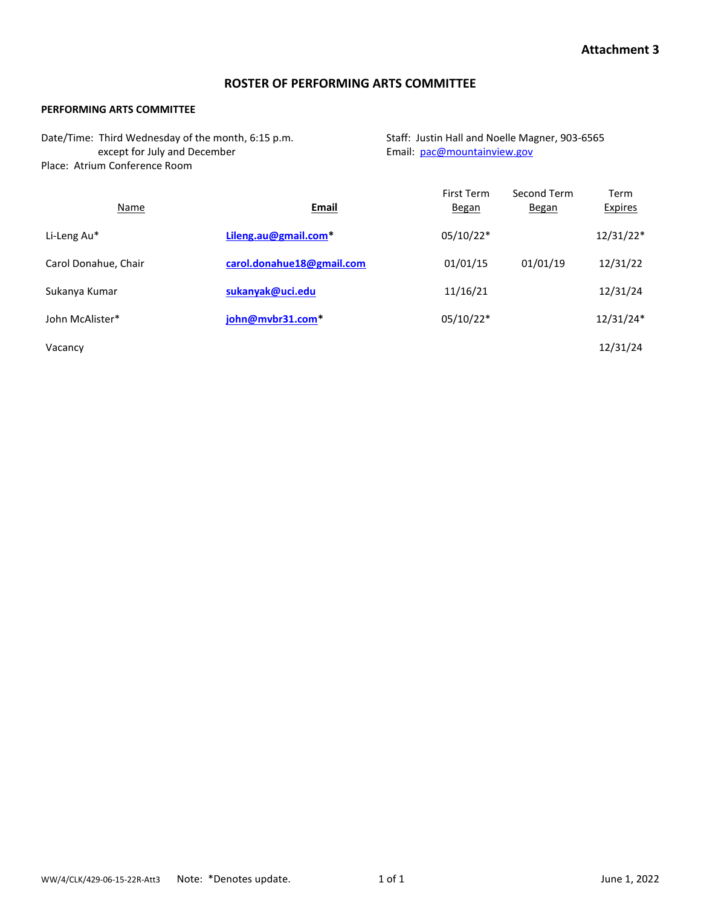## **ROSTER OF PERFORMING ARTS COMMITTEE**

#### **PERFORMING ARTS COMMITTEE**

| Date/Time: Third Wednesday of the month, 6:15 p.m. | Staff: Justin Hall and Noelle Magner, 903-6565 |
|----------------------------------------------------|------------------------------------------------|
| except for July and December                       | Email: pac@mountainview.gov                    |
| Place: Atrium Conference Room                      |                                                |

| Name                 | <b>Email</b>              | First Term<br><b>Began</b> | Second Term<br><b>Began</b> | Term<br><b>Expires</b> |
|----------------------|---------------------------|----------------------------|-----------------------------|------------------------|
| Li-Leng Au*          | Lileng.au@gmail.com*      | 05/10/22*                  |                             | $12/31/22*$            |
| Carol Donahue, Chair | carol.donahue18@gmail.com | 01/01/15                   | 01/01/19                    | 12/31/22               |
| Sukanya Kumar        | sukanyak@uci.edu          | 11/16/21                   |                             | 12/31/24               |
| John McAlister*      | john@mvbr31.com*          | 05/10/22*                  |                             | 12/31/24*              |
| Vacancy              |                           |                            |                             | 12/31/24               |